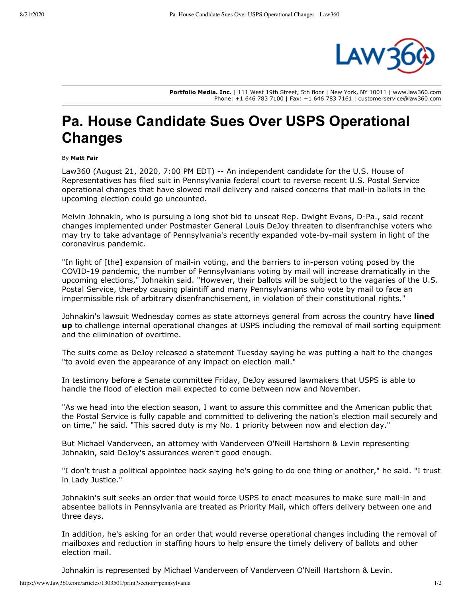

**Portfolio Media. Inc.** | 111 West 19th Street, 5th floor | New York, NY 10011 | www.law360.com Phone: +1 646 783 7100 | Fax: +1 646 783 7161 | customerservice@law360.com

## **Pa. House Candidate Sues Over USPS Operational Changes**

## By **Matt Fair**

[Law360 \(August 21, 2020, 7:00 PM EDT\) -- An independent candidate for the U.S. House of](https://www.law360.com/agencies/u-s-house-of-representatives) Representatives has filed suit in Pennsylvania federal court to reverse recent [U.S. Postal Service](https://www.law360.com/agencies/u-s-postal-service) operational changes that have slowed mail delivery and raised concerns that mail-in ballots in the upcoming election could go uncounted.

Melvin Johnakin, who is pursuing a long shot bid to unseat Rep. Dwight Evans, D-Pa., said recent changes implemented under Postmaster General Louis DeJoy threaten to disenfranchise voters who may try to take advantage of Pennsylvania's recently expanded vote-by-mail system in light of the coronavirus pandemic.

"In light of [the] expansion of mail-in voting, and the barriers to in-person voting posed by the COVID-19 pandemic, the number of Pennsylvanians voting by mail will increase dramatically in the upcoming elections," Johnakin said. "However, their ballots will be subject to the vagaries of the U.S. Postal Service, thereby causing plaintiff and many Pennsylvanians who vote by mail to face an impermissible risk of arbitrary disenfranchisement, in violation of their constitutional rights."

Johnakin's lawsuit Wednesday comes as state attorneys general from across the country have **lined up** [to challenge internal operational changes at USPS including the removal of mail sorting equipmen](https://www.law360.com/articles/1302428)t and the elimination of overtime.

The suits come as DeJoy released a statement Tuesday saying he was putting a halt to the changes "to avoid even the appearance of any impact on election mail."

In testimony before a Senate committee Friday, DeJoy assured lawmakers that USPS is able to handle the flood of election mail expected to come between now and November.

"As we head into the election season, I want to assure this committee and the American public that the Postal Service is fully capable and committed to delivering the nation's election mail securely and on time," he said. "This sacred duty is my No. 1 priority between now and election day."

But Michael Vanderveen, an attorney with Vanderveen O'Neill Hartshorn & Levin representing Johnakin, said DeJoy's assurances weren't good enough.

"I don't trust a political appointee hack saying he's going to do one thing or another," he said. "I trust in Lady Justice."

Johnakin's suit seeks an order that would force USPS to enact measures to make sure mail-in and absentee ballots in Pennsylvania are treated as Priority Mail, which offers delivery between one and three days.

In addition, he's asking for an order that would reverse operational changes including the removal of mailboxes and reduction in staffing hours to help ensure the timely delivery of ballots and other election mail.

Johnakin is represented by Michael Vanderveen of Vanderveen O'Neill Hartshorn & Levin.